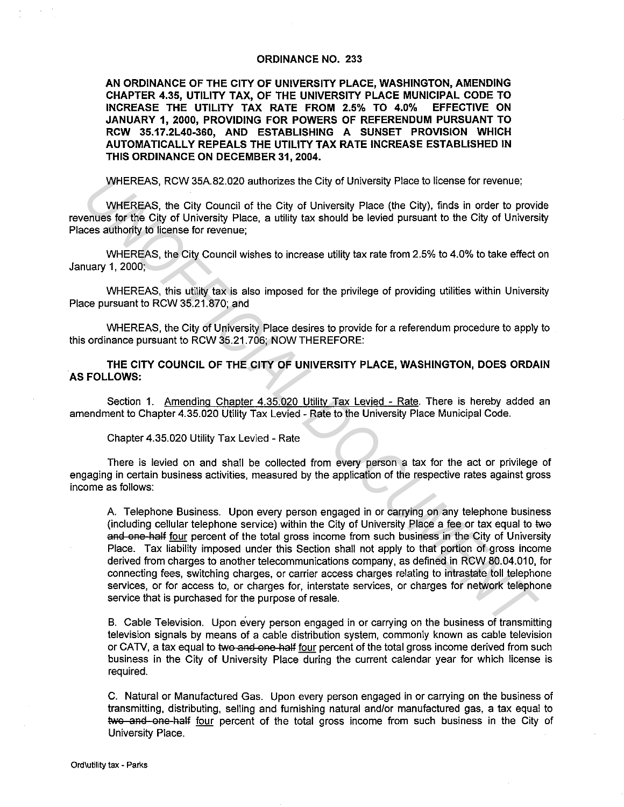## **ORDINANCE NO. 233**

**AN ORDINANCE OF THE CITY OF UNIVERSITY PLACE, WASHINGTON, AMENDING CHAPTER 4.35, UTILITY TAX, OF THE UNIVERSITY PLACE MUNICIPAL CODE TO INCREASE THE UTILITY TAX RATE FROM 2.5% TO 4.0% JANUARY 1, 2000, PROVIDING FOR POWERS OF REFERENDUM PURSUANT TO RCW 35.17.2L40-360, AND ESTABLISHING A SUNSET PROVISION WHICH AUTOMATICALLY REPEALS THE UTILITY TAX RATE INCREASE ESTABLISHED IN THIS ORDINANCE ON DECEMBER 31, 2004.** 

WHEREAS, RCW 35A.82.020 authorizes the City of University Place to license for revenue;

WHEREAS, the City Council of the City of University Place (the City), finds in order to provide revenues for the City of University Place, a utility tax should be levied pursuant to the City of University Places authority to license for revenue;

WHEREAS, the City Council wishes to increase utility tax rate from 2.5% to 4.0% to take effect on January 1, 2000;

WHEREAS, this utility tax is also imposed for the privilege of providing utilities within University Place pursuant to RCW 35.21.870; and

WHEREAS, the City of University Place desires to provide for a referendum procedure to apply to this ordinance pursuant to RCW 35.21. 706; NOW THEREFORE:

**THE CITY COUNCIL OF THE CITY OF UNIVERSITY PLACE, WASHINGTON, DOES ORDAIN AS FOLLOWS:** 

Section 1. Amending Chapter 4.35.020 Utility Tax Levied - Rate. There is hereby added an amendment to Chapter 4.35.020 Utility Tax Levied - Rate to the University Place Municipal Code.

Chapter 4.35.020 Utility Tax Levied - Rate

There is levied on and shall be collected from every person a tax for the act or privilege of engaging in certain business activities, measured by the application of the respective rates against gross income as follows:

A Telephone Business. Upon every person engaged in or carrying on any telephone business (including cellular telephone service) within the City of University Place a fee or tax equal to two and one-half four percent of the total gross income from such business in the City of University Place. Tax liability imposed under this Section shall not apply to that portion of gross income derived from charges to another telecommunications company, as defined in RCW 80.04.010, for connecting fees, switching charges, or carrier access charges relating to intrastate toll telephone services, or for access to, or charges for, interstate services, or charges for network telephone service that is purchased for the purpose of resale. WHEREAS, RCW 35A 82.020 authorizes the City of University Place to license for revenue;<br> **UNIFICEAS, the City of University Place (the City), finds in order to provide<br>
entuss for the City of University Place, a utility ta** 

B. Cable Television. Upon every person engaged in or carrying on the business of transmitting television signals by means of a cable distribution system, commonly known as cable television or CATV, a tax equal to two and one half four percent of the total gross income derived from such business in the City of University Place during the current calendar year for which license is required.

C. Natural or Manufactured Gas. Upon every person engaged in or carrying on the business of transmitting, distributing, selling and furnishing natural and/or manufactured gas, a tax equal to two and one half four percent of the total gross income from such business in the City of University Place.